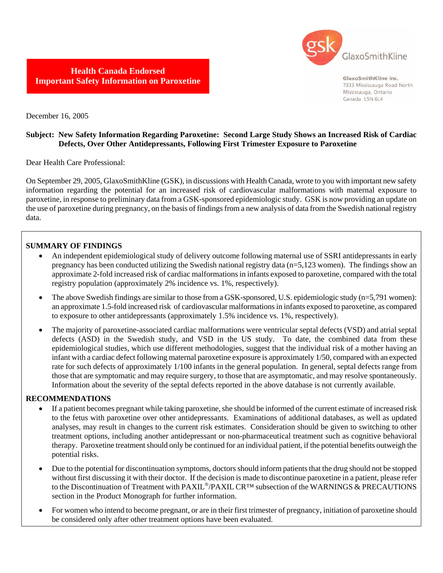

GlaxoSmithKline Inc. 7333 Mississauga Road North Mississauga, Ontario Canada L5N 6L4

**Health Canada Endorsed Important Safety Information on Paroxetine** 

December 16, 2005

# **Subject: New Safety Information Regarding Paroxetine: Second Large Study Shows an Increased Risk of Cardiac Defects, Over Other Antidepressants, Following First Trimester Exposure to Paroxetine**

Dear Health Care Professional:

On September 29, 2005, GlaxoSmithKline (GSK), in discussions with Health Canada, wrote to you with important new safety information regarding the potential for an increased risk of cardiovascular malformations with maternal exposure to paroxetine, in response to preliminary data from a GSK-sponsored epidemiologic study. GSK is now providing an update on the use of paroxetine during pregnancy, on the basis of findings from a new analysis of data from the Swedish national registry data.

# **SUMMARY OF FINDINGS**

- An independent epidemiological study of delivery outcome following maternal use of SSRI antidepressants in early pregnancy has been conducted utilizing the Swedish national registry data (n=5,123 women). The findings show an approximate 2-fold increased risk of cardiac malformations in infants exposed to paroxetine, compared with the total registry population (approximately 2% incidence vs. 1%, respectively).
- The above Swedish findings are similar to those from a GSK-sponsored, U.S. epidemiologic study (n=5,791 women): an approximate 1.5-fold increased risk of cardiovascular malformations in infants exposed to paroxetine, as compared to exposure to other antidepressants (approximately 1.5% incidence vs. 1%, respectively).
- The majority of paroxetine-associated cardiac malformations were ventricular septal defects (VSD) and atrial septal defects (ASD) in the Swedish study, and VSD in the US study. To date, the combined data from these epidemiological studies, which use different methodologies, suggest that the individual risk of a mother having an infant with a cardiac defect following maternal paroxetine exposure is approximately 1/50, compared with an expected rate for such defects of approximately 1/100 infants in the general population. In general, septal defects range from those that are symptomatic and may require surgery, to those that are asymptomatic, and may resolve spontaneously. Information about the severity of the septal defects reported in the above database is not currently available.

### **RECOMMENDATIONS**

- If a patient becomes pregnant while taking paroxetine, she should be informed of the current estimate of increased risk to the fetus with paroxetine over other antidepressants. Examinations of additional databases, as well as updated analyses, may result in changes to the current risk estimates. Consideration should be given to switching to other treatment options, including another antidepressant or non-pharmaceutical treatment such as cognitive behavioral therapy. Paroxetine treatment should only be continued for an individual patient, if the potential benefits outweigh the potential risks.
- Due to the potential for discontinuation symptoms, doctors should inform patients that the drug should not be stopped without first discussing it with their doctor. If the decision is made to discontinue paroxetine in a patient, please refer to the Discontinuation of Treatment with PAXIL®/PAXIL CR™ subsection of the WARNINGS & PRECAUTIONS section in the Product Monograph for further information.
- For women who intend to become pregnant, or are in their first trimester of pregnancy, initiation of paroxetine should be considered only after other treatment options have been evaluated.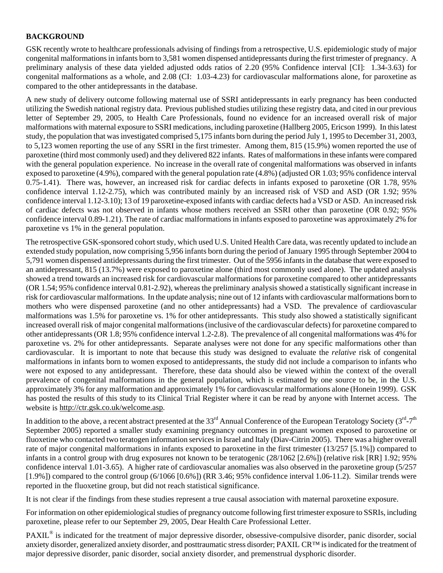# **BACKGROUND**

GSK recently wrote to healthcare professionals advising of findings from a retrospective, U.S. epidemiologic study of major congenital malformations in infants born to 3,581 women dispensed antidepressants during the first trimester of pregnancy. A preliminary analysis of these data yielded adjusted odds ratios of 2.20 (95% Confidence interval [CI]: 1.34-3.63) for congenital malformations as a whole, and 2.08 (CI: 1.03-4.23) for cardiovascular malformations alone, for paroxetine as compared to the other antidepressants in the database.

A new study of delivery outcome following maternal use of SSRI antidepressants in early pregnancy has been conducted utilizing the Swedish national registry data. Previous published studies utilizing these registry data, and cited in our previous letter of September 29, 2005, to Health Care Professionals, found no evidence for an increased overall risk of major malformations with maternal exposure to SSRI medications, including paroxetine (Hallberg 2005, Ericson 1999). In this latest study, the population that was investigated comprised 5,175 infants born during the period July 1, 1995 to December 31, 2003, to 5,123 women reporting the use of any SSRI in the first trimester. Among them, 815 (15.9%) women reported the use of paroxetine (third most commonly used) and they delivered 822 infants. Rates of malformations in these infants were compared with the general population experience. No increase in the overall rate of congenital malformations was observed in infants exposed to paroxetine (4.9%), compared with the general population rate (4.8%) (adjusted OR 1.03; 95% confidence interval 0.75-1.41). There was, however, an increased risk for cardiac defects in infants exposed to paroxetine (OR 1.78, 95% confidence interval 1.12-2.75), which was contributed mainly by an increased risk of VSD and ASD (OR 1.92; 95% confidence interval 1.12-3.10); 13 of 19 paroxetine-exposed infants with cardiac defects had a VSD or ASD. An increased risk of cardiac defects was not observed in infants whose mothers received an SSRI other than paroxetine (OR 0.92; 95% confidence interval 0.89-1.21). The rate of cardiac malformations in infants exposed to paroxetine was approximately 2% for paroxetine vs 1% in the general population.

The retrospective GSK-sponsored cohort study, which used U.S. United Health Care data, was recently updated to include an extended study population, now comprising 5,956 infants born during the period of January 1995 through September 2004 to 5,791 women dispensed antidepressants during the first trimester. Out of the 5956 infants in the database that were exposed to an antidepressant, 815 (13.7%) were exposed to paroxetine alone (third most commonly used alone). The updated analysis showed a trend towards an increased risk for cardiovascular malformations for paroxetine compared to other antidepressants (OR 1.54; 95% confidence interval 0.81-2.92), whereas the preliminary analysis showed a statistically significant increase in risk for cardiovascular malformations. In the update analysis; nine out of 12 infants with cardiovascular malformations born to mothers who were dispensed paroxetine (and no other antidepressants) had a VSD. The prevalence of cardiovascular malformations was 1.5% for paroxetine vs. 1% for other antidepressants. This study also showed a statistically significant increased overall risk of major congenital malformations (inclusive of the cardiovascular defects) for paroxetine compared to other antidepressants (OR 1.8; 95% confidence interval 1.2-2.8). The prevalence of all congenital malformations was 4% for paroxetine vs. 2% for other antidepressants. Separate analyses were not done for any specific malformations other than cardiovascular. It is important to note that because this study was designed to evaluate the *relative* risk of congenital malformations in infants born to women exposed to antidepressants, the study did not include a comparison to infants who were not exposed to any antidepressant. Therefore, these data should also be viewed within the context of the overall prevalence of congenital malformations in the general population, which is estimated by one source to be, in the U.S. approximately 3% for any malformation and approximately 1% for cardiovascular malformations alone (Honein 1999). GSK has posted the results of this study to its Clinical Trial Register where it can be read by anyone with Internet access. The website is<http://ctr.gsk.co.uk/welcome.asp>.

In addition to the above, a recent abstract presented at the  $33^{rd}$  Annual Conference of the European Teratology Society ( $3^{rd}$ - $7<sup>th</sup>$ September 2005) reported a smaller study examining pregnancy outcomes in pregnant women exposed to paroxetine or fluoxetine who contacted two teratogen information services in Israel and Italy (Diav-Citrin 2005). There was a higher overall rate of major congenital malformations in infants exposed to paroxetine in the first trimester (13/257 [5.1%]) compared to infants in a control group with drug exposures not known to be teratogenic (28/1062 [2.6%]) (relative risk [RR] 1.92; 95% confidence interval 1.01-3.65). A higher rate of cardiovascular anomalies was also observed in the paroxetine group (5/257 [1.9%]) compared to the control group (6/1066 [0.6%]) (RR 3.46; 95% confidence interval 1.06-11.2). Similar trends were reported in the fluoxetine group, but did not reach statistical significance.

It is not clear if the findings from these studies represent a true causal association with maternal paroxetine exposure.

For information on other epidemiological studies of pregnancy outcome following first trimester exposure to SSRIs, including paroxetine, please refer to our September 29, 2005, Dear Health Care Professional Letter.

PAXIL<sup>®</sup> is indicated for the treatment of major depressive disorder, obsessive-compulsive disorder, panic disorder, social anxiety disorder, generalized anxiety disorder, and posttraumatic stress disorder; PAXIL CR™ is indicated for the treatment of major depressive disorder, panic disorder, social anxiety disorder, and premenstrual dysphoric disorder.